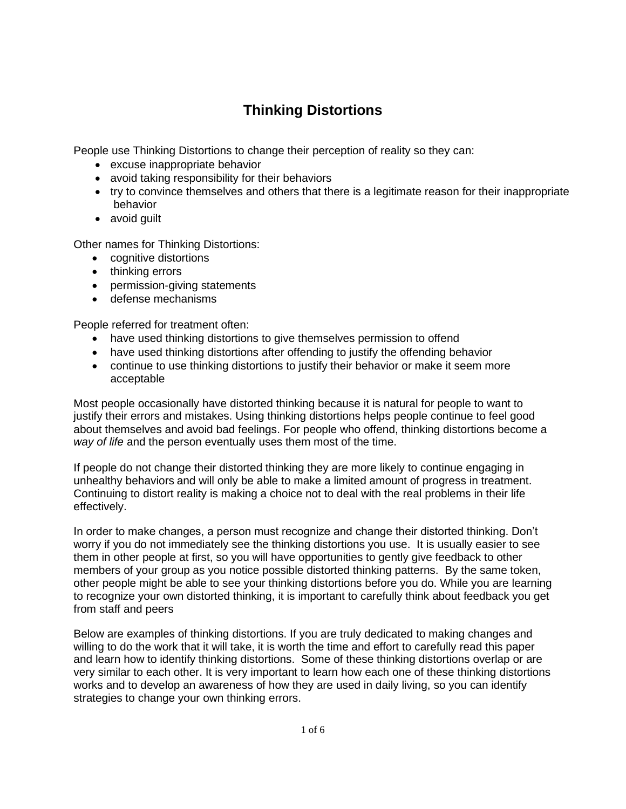## **Thinking Distortions**

People use Thinking Distortions to change their perception of reality so they can:

- excuse inappropriate behavior
- avoid taking responsibility for their behaviors
- try to convince themselves and others that there is a legitimate reason for their inappropriate behavior
- avoid guilt

Other names for Thinking Distortions:

- cognitive distortions
- thinking errors
- permission-giving statements
- defense mechanisms

People referred for treatment often:

- have used thinking distortions to give themselves permission to offend
- have used thinking distortions after offending to justify the offending behavior
- continue to use thinking distortions to justify their behavior or make it seem more acceptable

Most people occasionally have distorted thinking because it is natural for people to want to justify their errors and mistakes. Using thinking distortions helps people continue to feel good about themselves and avoid bad feelings. For people who offend, thinking distortions become a *way of life* and the person eventually uses them most of the time.

If people do not change their distorted thinking they are more likely to continue engaging in unhealthy behaviors and will only be able to make a limited amount of progress in treatment. Continuing to distort reality is making a choice not to deal with the real problems in their life effectively.

In order to make changes, a person must recognize and change their distorted thinking. Don't worry if you do not immediately see the thinking distortions you use. It is usually easier to see them in other people at first, so you will have opportunities to gently give feedback to other members of your group as you notice possible distorted thinking patterns. By the same token, other people might be able to see your thinking distortions before you do. While you are learning to recognize your own distorted thinking, it is important to carefully think about feedback you get from staff and peers

Below are examples of thinking distortions. If you are truly dedicated to making changes and willing to do the work that it will take, it is worth the time and effort to carefully read this paper and learn how to identify thinking distortions. Some of these thinking distortions overlap or are very similar to each other. It is very important to learn how each one of these thinking distortions works and to develop an awareness of how they are used in daily living, so you can identify strategies to change your own thinking errors.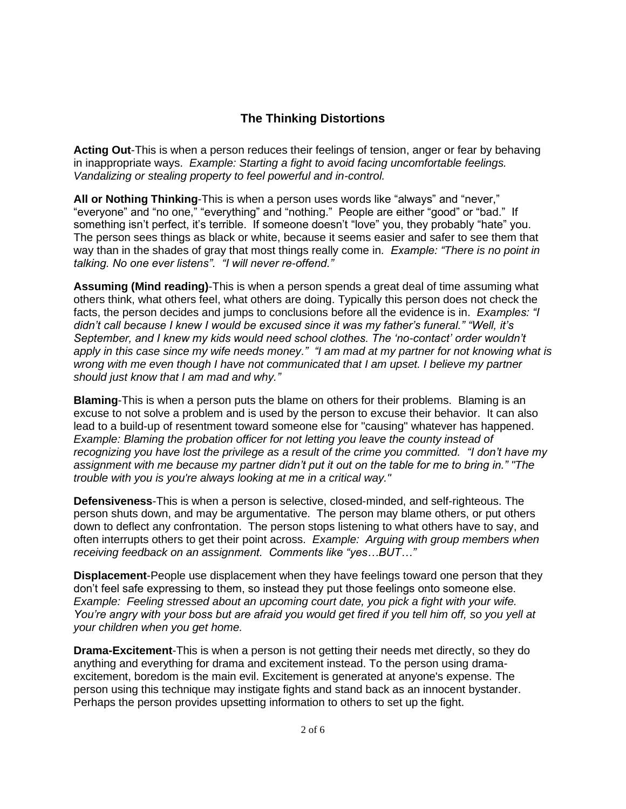## **The Thinking Distortions**

**Acting Out**-This is when a person reduces their feelings of tension, anger or fear by behaving in inappropriate ways. *Example: Starting a fight to avoid facing uncomfortable feelings. Vandalizing or stealing property to feel powerful and in-control.* 

**All or Nothing Thinking**-This is when a person uses words like "always" and "never," "everyone" and "no one," "everything" and "nothing." People are either "good" or "bad." If something isn't perfect, it's terrible. If someone doesn't "love" you, they probably "hate" you. The person sees things as black or white, because it seems easier and safer to see them that way than in the shades of gray that most things really come in. *Example: "There is no point in talking. No one ever listens". "I will never re-offend."*

**Assuming (Mind reading)**-This is when a person spends a great deal of time assuming what others think, what others feel, what others are doing. Typically this person does not check the facts, the person decides and jumps to conclusions before all the evidence is in. *Examples: "I didn't call because I knew I would be excused since it was my father's funeral." "Well, it's September, and I knew my kids would need school clothes. The 'no-contact' order wouldn't apply in this case since my wife needs money." "I am mad at my partner for not knowing what is wrong with me even though I have not communicated that I am upset. I believe my partner should just know that I am mad and why."* 

**Blaming**-This is when a person puts the blame on others for their problems. Blaming is an excuse to not solve a problem and is used by the person to excuse their behavior. It can also lead to a build-up of resentment toward someone else for "causing" whatever has happened. *Example: Blaming the probation officer for not letting you leave the county instead of recognizing you have lost the privilege as a result of the crime you committed. "I don't have my assignment with me because my partner didn't put it out on the table for me to bring in." "The trouble with you is you're always looking at me in a critical way."*

**Defensiveness**-This is when a person is selective, closed-minded, and self-righteous. The person shuts down, and may be argumentative. The person may blame others, or put others down to deflect any confrontation. The person stops listening to what others have to say, and often interrupts others to get their point across. *Example: Arguing with group members when receiving feedback on an assignment. Comments like "yes…BUT…"*

**Displacement**-People use displacement when they have feelings toward one person that they don't feel safe expressing to them, so instead they put those feelings onto someone else. *Example: Feeling stressed about an upcoming court date, you pick a fight with your wife. You're angry with your boss but are afraid you would get fired if you tell him off, so you yell at your children when you get home.*

**Drama-Excitement**-This is when a person is not getting their needs met directly, so they do anything and everything for drama and excitement instead. To the person using dramaexcitement, boredom is the main evil. Excitement is generated at anyone's expense. The person using this technique may instigate fights and stand back as an innocent bystander. Perhaps the person provides upsetting information to others to set up the fight.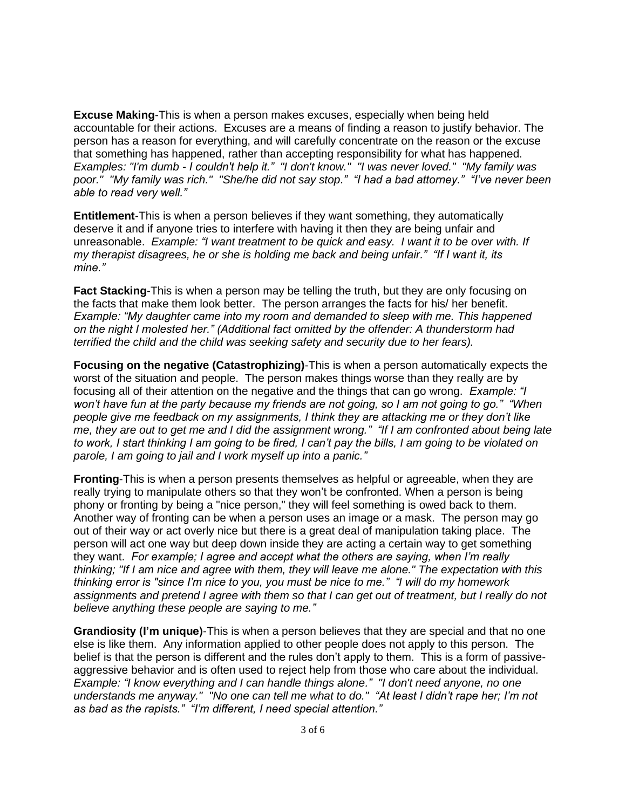**Excuse Making**-This is when a person makes excuses, especially when being held accountable for their actions. Excuses are a means of finding a reason to justify behavior. The person has a reason for everything, and will carefully concentrate on the reason or the excuse that something has happened, rather than accepting responsibility for what has happened. *Examples: "I'm dumb - I couldn't help it." "I don't know." "I was never loved." "My family was poor." "My family was rich." "She/he did not say stop." "I had a bad attorney." "I've never been able to read very well."*

**Entitlement**-This is when a person believes if they want something, they automatically deserve it and if anyone tries to interfere with having it then they are being unfair and unreasonable. *Example: "I want treatment to be quick and easy. I want it to be over with. If my therapist disagrees, he or she is holding me back and being unfair." "If I want it, its mine."*

**Fact Stacking**-This is when a person may be telling the truth, but they are only focusing on the facts that make them look better. The person arranges the facts for his/ her benefit. *Example: "My daughter came into my room and demanded to sleep with me. This happened on the night I molested her." (Additional fact omitted by the offender: A thunderstorm had terrified the child and the child was seeking safety and security due to her fears).*

**Focusing on the negative (Catastrophizing)**-This is when a person automatically expects the worst of the situation and people. The person makes things worse than they really are by focusing all of their attention on the negative and the things that can go wrong. *Example: "I won't have fun at the party because my friends are not going, so I am not going to go." "When people give me feedback on my assignments, I think they are attacking me or they don't like me, they are out to get me and I did the assignment wrong." "If I am confronted about being late to work, I start thinking I am going to be fired, I can't pay the bills, I am going to be violated on parole, I am going to jail and I work myself up into a panic."* 

**Fronting**-This is when a person presents themselves as helpful or agreeable, when they are really trying to manipulate others so that they won't be confronted. When a person is being phony or fronting by being a "nice person," they will feel something is owed back to them. Another way of fronting can be when a person uses an image or a mask. The person may go out of their way or act overly nice but there is a great deal of manipulation taking place. The person will act one way but deep down inside they are acting a certain way to get something they want. *For example; I agree and accept what the others are saying, when I'm really thinking; "If I am nice and agree with them, they will leave me alone." The expectation with this thinking error is "since I'm nice to you, you must be nice to me." "I will do my homework assignments and pretend I agree with them so that I can get out of treatment, but I really do not believe anything these people are saying to me."* 

**Grandiosity (I'm unique)**-This is when a person believes that they are special and that no one else is like them. Any information applied to other people does not apply to this person. The belief is that the person is different and the rules don't apply to them. This is a form of passiveaggressive behavior and is often used to reject help from those who care about the individual. *Example: "I know everything and I can handle things alone." "I don't need anyone, no one understands me anyway." "No one can tell me what to do." "At least I didn't rape her; I'm not as bad as the rapists." "I'm different, I need special attention."*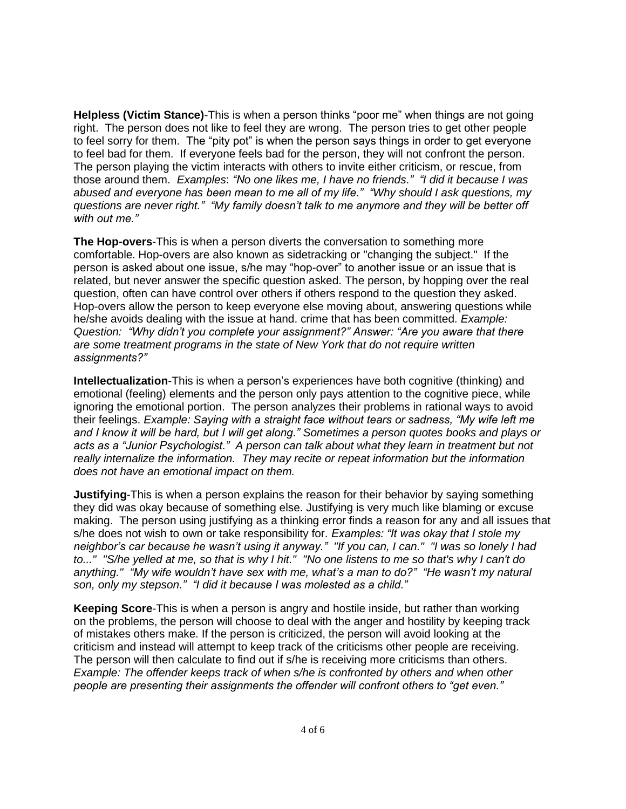**Helpless (Victim Stance)**-This is when a person thinks "poor me" when things are not going right. The person does not like to feel they are wrong. The person tries to get other people to feel sorry for them. The "pity pot" is when the person says things in order to get everyone to feel bad for them. If everyone feels bad for the person, they will not confront the person. The person playing the victim interacts with others to invite either criticism, or rescue, from those around them. *Examples*: *"No one likes me, I have no friends." "I did it because I was abused and everyone has been mean to me all of my life." "Why should I ask questions, my questions are never right." "My family doesn't talk to me anymore and they will be better off with out me."*

**The Hop-overs**-This is when a person diverts the conversation to something more comfortable. Hop-overs are also known as sidetracking or "changing the subject." If the person is asked about one issue, s/he may "hop-over" to another issue or an issue that is related, but never answer the specific question asked. The person, by hopping over the real question, often can have control over others if others respond to the question they asked. Hop-overs allow the person to keep everyone else moving about, answering questions while he/she avoids dealing with the issue at hand. crime that has been committed. *Example: Question: "Why didn't you complete your assignment?" Answer: "Are you aware that there are some treatment programs in the state of New York that do not require written assignments?"*

**Intellectualization**-This is when a person's experiences have both cognitive (thinking) and emotional (feeling) elements and the person only pays attention to the cognitive piece, while ignoring the emotional portion. The person analyzes their problems in rational ways to avoid their feelings. *Example: Saying with a straight face without tears or sadness, "My wife left me and I know it will be hard, but I will get along." Sometimes a person quotes books and plays or acts as a "Junior Psychologist." A person can talk about what they learn in treatment but not really internalize the information. They may recite or repeat information but the information does not have an emotional impact on them.* 

**Justifying**-This is when a person explains the reason for their behavior by saying something they did was okay because of something else. Justifying is very much like blaming or excuse making. The person using justifying as a thinking error finds a reason for any and all issues that s/he does not wish to own or take responsibility for. *Examples: "It was okay that I stole my neighbor's car because he wasn't using it anyway." "If you can, I can." "I was so lonely I had to..." "S/he yelled at me, so that is why I hit." "No one listens to me so that's why I can't do anything." "My wife wouldn't have sex with me, what's a man to do?" "He wasn't my natural son, only my stepson." "I did it because I was molested as a child."* 

**Keeping Score**-This is when a person is angry and hostile inside, but rather than working on the problems, the person will choose to deal with the anger and hostility by keeping track of mistakes others make. If the person is criticized, the person will avoid looking at the criticism and instead will attempt to keep track of the criticisms other people are receiving. The person will then calculate to find out if s/he is receiving more criticisms than others. *Example: The offender keeps track of when s/he is confronted by others and when other people are presenting their assignments the offender will confront others to "get even."*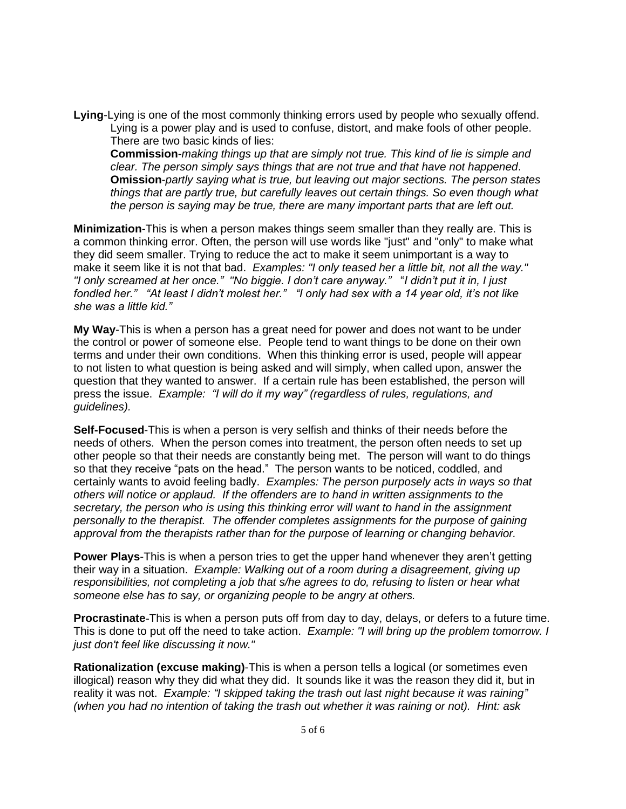**Lying**-Lying is one of the most commonly thinking errors used by people who sexually offend. Lying is a power play and is used to confuse, distort, and make fools of other people. There are two basic kinds of lies:

**Commission**-*making things up that are simply not true. This kind of lie is simple and clear. The person simply says things that are not true and that have not happened*. **Omission**-*partly saying what is true, but leaving out major sections. The person states things that are partly true, but carefully leaves out certain things. So even though what the person is saying may be true, there are many important parts that are left out.*

**Minimization**-This is when a person makes things seem smaller than they really are. This is a common thinking error. Often, the person will use words like "just" and "only" to make what they did seem smaller. Trying to reduce the act to make it seem unimportant is a way to make it seem like it is not that bad. *Examples: "I only teased her a little bit, not all the way." "I only screamed at her once." "No biggie. I don't care anyway."* "*I didn't put it in, I just fondled her." "At least I didn't molest her." "I only had sex with a 14 year old, it's not like she was a little kid."* 

**My Way**-This is when a person has a great need for power and does not want to be under the control or power of someone else. People tend to want things to be done on their own terms and under their own conditions. When this thinking error is used, people will appear to not listen to what question is being asked and will simply, when called upon, answer the question that they wanted to answer. If a certain rule has been established, the person will press the issue. *Example: "I will do it my way" (regardless of rules, regulations, and guidelines).* 

**Self-Focused**-This is when a person is very selfish and thinks of their needs before the needs of others. When the person comes into treatment, the person often needs to set up other people so that their needs are constantly being met. The person will want to do things so that they receive "pats on the head." The person wants to be noticed, coddled, and certainly wants to avoid feeling badly. *Examples: The person purposely acts in ways so that others will notice or applaud. If the offenders are to hand in written assignments to the secretary, the person who is using this thinking error will want to hand in the assignment personally to the therapist. The offender completes assignments for the purpose of gaining approval from the therapists rather than for the purpose of learning or changing behavior.*

**Power Plays**-This is when a person tries to get the upper hand whenever they aren't getting their way in a situation. *Example: Walking out of a room during a disagreement, giving up responsibilities, not completing a job that s/he agrees to do, refusing to listen or hear what someone else has to say, or organizing people to be angry at others.*

**Procrastinate**-This is when a person puts off from day to day, delays, or defers to a future time. This is done to put off the need to take action. *Example: "I will bring up the problem tomorrow. I just don't feel like discussing it now."*

**Rationalization (excuse making)**-This is when a person tells a logical (or sometimes even illogical) reason why they did what they did. It sounds like it was the reason they did it, but in reality it was not. *Example: "I skipped taking the trash out last night because it was raining" (when you had no intention of taking the trash out whether it was raining or not). Hint: ask*